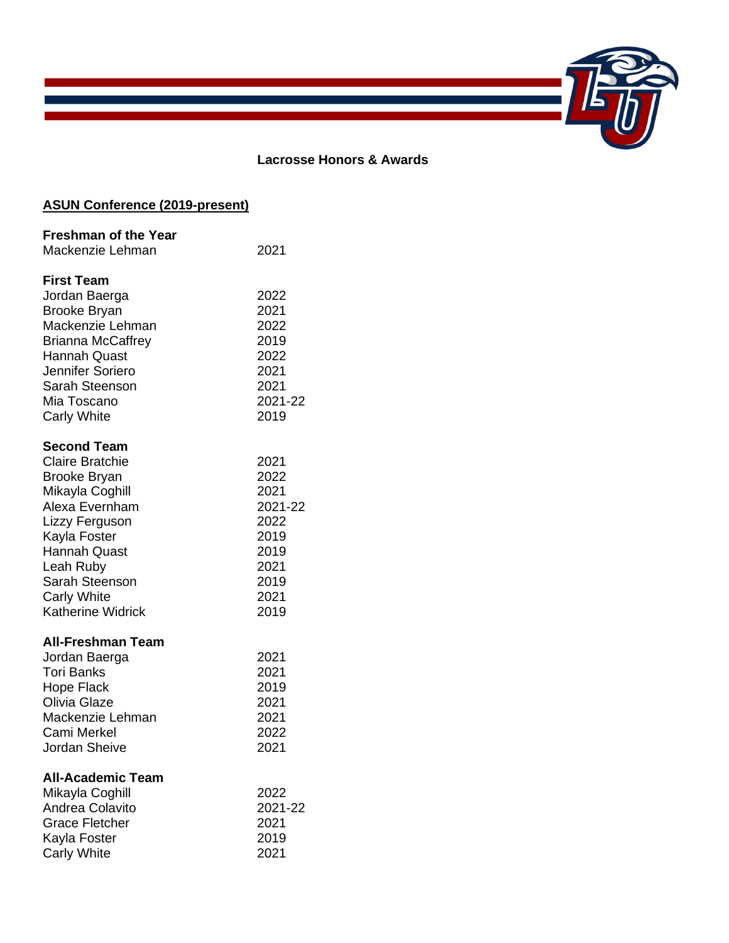

## **Lacrosse Honors & Awards**

# **ASUN Conference (2019-present)**

| <b>Freshman of the Year</b> |         |
|-----------------------------|---------|
| Mackenzie Lehman            | 2021    |
| <b>First Team</b>           |         |
| Jordan Baerga               | 2022    |
| <b>Brooke Bryan</b>         | 2021    |
| Mackenzie Lehman            | 2022    |
| <b>Brianna McCaffrey</b>    | 2019    |
| <b>Hannah Quast</b>         | 2022    |
| Jennifer Soriero            | 2021    |
| Sarah Steenson              | 2021    |
| Mia Toscano                 | 2021-22 |
| <b>Carly White</b>          | 2019    |
| <b>Second Team</b>          |         |
| <b>Claire Bratchie</b>      | 2021    |
| <b>Brooke Bryan</b>         | 2022    |
| Mikayla Coghill             | 2021    |
| Alexa Evernham              | 2021-22 |
| Lizzy Ferguson              | 2022    |
| Kayla Foster                | 2019    |
| <b>Hannah Quast</b>         | 2019    |
| Leah Ruby                   | 2021    |
| Sarah Steenson              | 2019    |
| <b>Carly White</b>          | 2021    |
| <b>Katherine Widrick</b>    | 2019    |
| <b>All-Freshman Team</b>    |         |
| Jordan Baerga               | 2021    |
| <b>Tori Banks</b>           | 2021    |
| <b>Hope Flack</b>           | 2019    |
| Olivia Glaze                | 2021    |
| Mackenzie Lehman            | 2021    |
| Cami Merkel                 | 2022    |
| Jordan Sheive               | 2021    |
| <b>All-Academic Team</b>    |         |
| Mikayla Coghill             | 2022    |
| Andrea Colavito             | 2021-22 |
| <b>Grace Fletcher</b>       | 2021    |
| Kayla Foster                | 2019    |
| <b>Carly White</b>          | 2021    |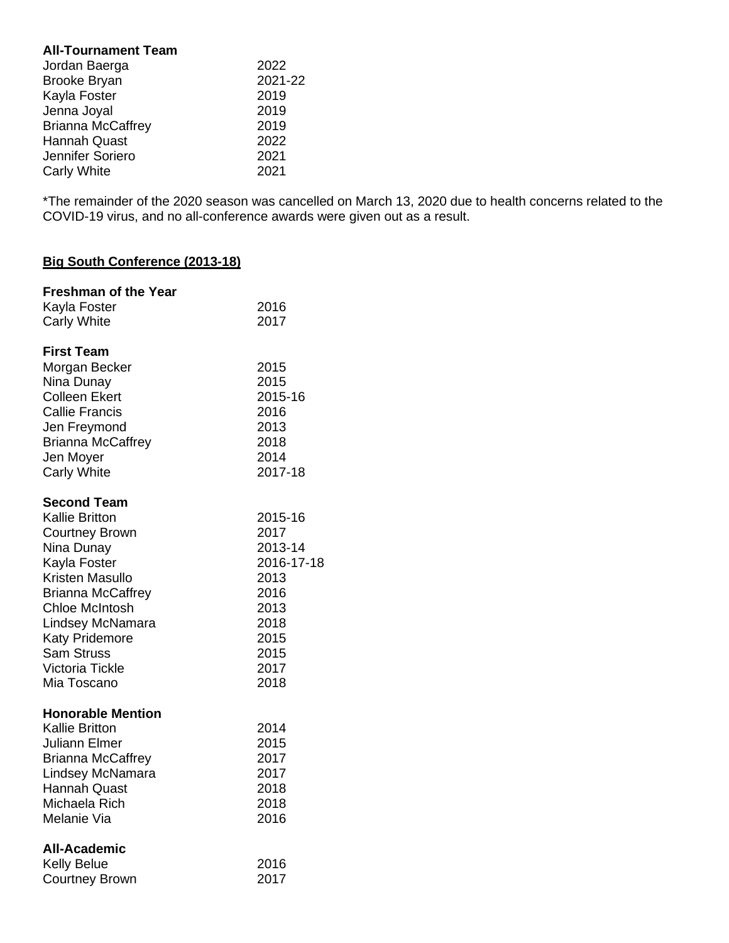## **All-Tournament Team**

| 2022    |
|---------|
| 2021-22 |
| 2019    |
| 2019    |
| 2019    |
| 2022    |
| 2021    |
| 2021    |
|         |

\*The remainder of the 2020 season was cancelled on March 13, 2020 due to health concerns related to the COVID-19 virus, and no all-conference awards were given out as a result.

## **Big South Conference (2013-18)**

| <b>Freshman of the Year</b><br>Kayla Foster<br><b>Carly White</b>                                                                                                                                                                                                       | 2016<br>2017                                                                                             |
|-------------------------------------------------------------------------------------------------------------------------------------------------------------------------------------------------------------------------------------------------------------------------|----------------------------------------------------------------------------------------------------------|
| <b>First Team</b><br>Morgan Becker<br>Nina Dunay<br><b>Colleen Ekert</b><br><b>Callie Francis</b><br>Jen Freymond<br><b>Brianna McCaffrey</b><br>Jen Moyer<br><b>Carly White</b>                                                                                        | 2015<br>2015<br>2015-16<br>2016<br>2013<br>2018<br>2014<br>2017-18                                       |
| <b>Second Team</b><br><b>Kallie Britton</b><br><b>Courtney Brown</b><br>Nina Dunay<br>Kayla Foster<br>Kristen Masullo<br><b>Brianna McCaffrey</b><br><b>Chloe McIntosh</b><br>Lindsey McNamara<br>Katy Pridemore<br>Sam Struss<br><b>Victoria Tickle</b><br>Mia Toscano | 2015-16<br>2017<br>2013-14<br>2016-17-18<br>2013<br>2016<br>2013<br>2018<br>2015<br>2015<br>2017<br>2018 |
| <b>Honorable Mention</b><br>Kallie Britton<br><b>Juliann Elmer</b><br><b>Brianna McCaffrey</b><br>Lindsey McNamara<br><b>Hannah Quast</b><br>Michaela Rich<br>Melanie Via                                                                                               | 2014<br>2015<br>2017<br>2017<br>2018<br>2018<br>2016                                                     |
| All-Academic<br><b>Kelly Belue</b><br><b>Courtney Brown</b>                                                                                                                                                                                                             | 2016<br>2017                                                                                             |
|                                                                                                                                                                                                                                                                         |                                                                                                          |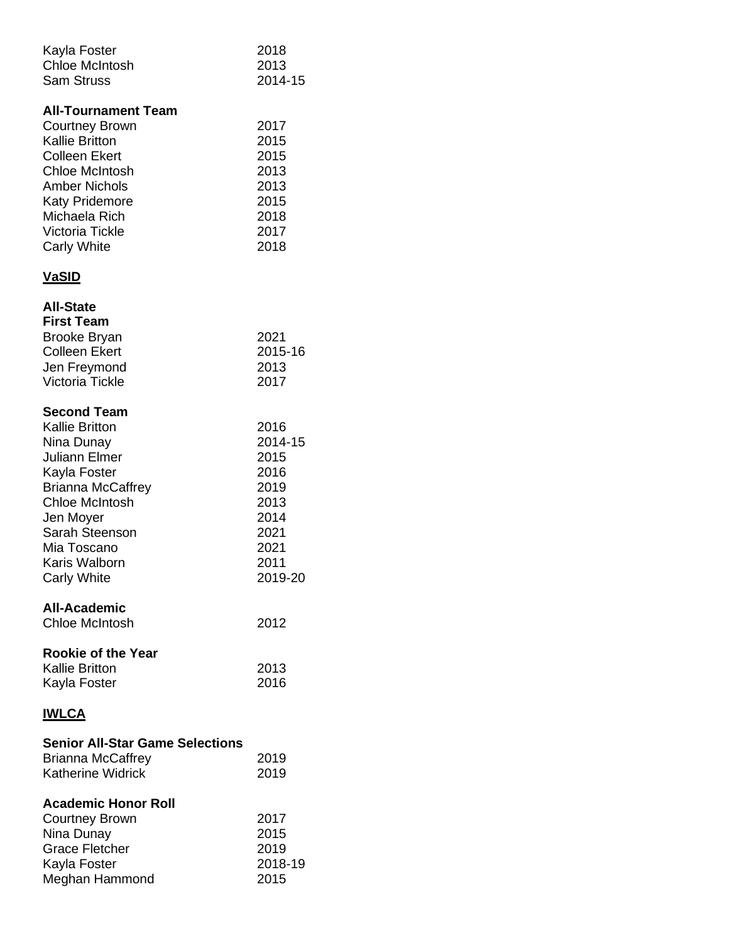| Kayla Foster<br><b>Chloe McIntosh</b><br><b>Sam Struss</b>                                                                                                                                                                                      | 2018<br>2013<br>2014-15                                                                    |
|-------------------------------------------------------------------------------------------------------------------------------------------------------------------------------------------------------------------------------------------------|--------------------------------------------------------------------------------------------|
| <b>All-Tournament Team</b><br><b>Courtney Brown</b><br><b>Kallie Britton</b><br><b>Colleen Ekert</b><br><b>Chloe McIntosh</b><br><b>Amber Nichols</b><br><b>Katy Pridemore</b><br>Michaela Rich<br><b>Victoria Tickle</b><br><b>Carly White</b> | 2017<br>2015<br>2015<br>2013<br>2013<br>2015<br>2018<br>2017<br>2018                       |
| <u>VaSID</u>                                                                                                                                                                                                                                    |                                                                                            |
| <b>All-State</b><br><b>First Team</b><br><b>Brooke Bryan</b><br><b>Colleen Ekert</b><br>Jen Freymond<br>Victoria Tickle                                                                                                                         | 2021<br>2015-16<br>2013<br>2017                                                            |
| <b>Second Team</b><br><b>Kallie Britton</b><br>Nina Dunay<br><b>Juliann Elmer</b><br>Kayla Foster<br><b>Brianna McCaffrey</b><br><b>Chloe McIntosh</b><br>Jen Moyer<br>Sarah Steenson<br>Mia Toscano<br>Karis Walborn<br><b>Carly White</b>     | 2016<br>2014-15<br>2015<br>2016<br>2019<br>2013<br>2014<br>2021<br>2021<br>2011<br>2019-20 |
| <b>All-Academic</b><br><b>Chloe McIntosh</b>                                                                                                                                                                                                    | 2012                                                                                       |
| <b>Rookie of the Year</b><br><b>Kallie Britton</b><br>Kayla Foster                                                                                                                                                                              | 2013<br>2016                                                                               |
| <b>IWLCA</b>                                                                                                                                                                                                                                    |                                                                                            |
| <b>Senior All-Star Game Selections</b><br><b>Brianna McCaffrey</b><br><b>Katherine Widrick</b>                                                                                                                                                  | 2019<br>2019                                                                               |
| <b>Academic Honor Roll</b><br><b>Courtney Brown</b><br>Nina Dunay<br><b>Grace Fletcher</b><br>Kayla Foster                                                                                                                                      | 2017<br>2015<br>2019<br>2018-19                                                            |

Meghan Hammond 2015